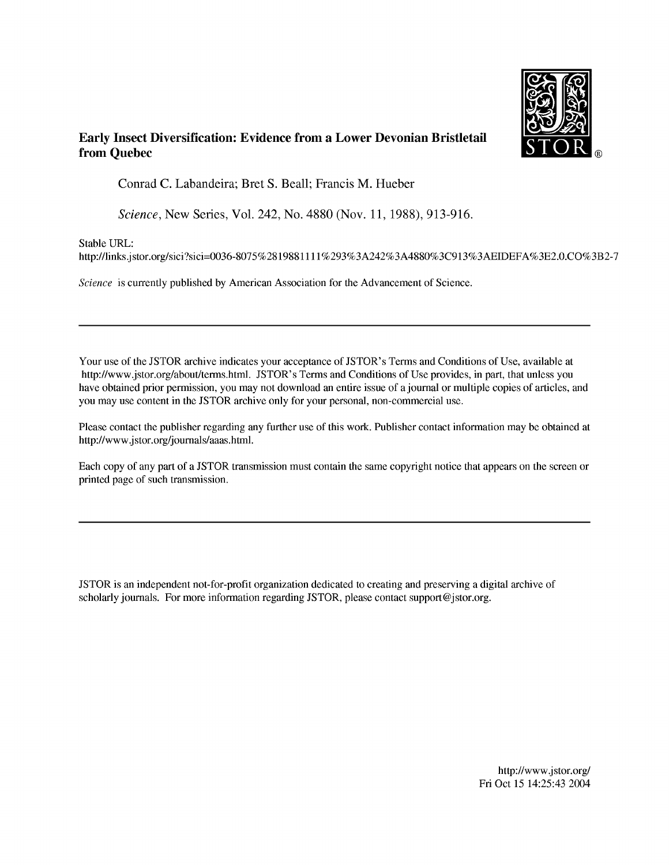

## **Early Insect Diversification: Evidence from a Lower Devonian Bristletail from Quebec** STOR **®**

Conrad C. Labandeira; Bret S. Beall; Francis M. Hueber

*Science,* New Series, Vol. 242, No. 4880 (Nov. 11, 1988), 913-916.

Stable URL:

http://links.jstor.org/sici?sici=0036-8075%2819881111%293%3A242%3A4880%3C913%3AEIDEFA%3E2.0.CO%3B2-7

*Science* is currently published by American Association for the Advancement of Science.

Your use of the JSTOR archive indicates your acceptance of JSTOR's Terms and Conditions of Use, available at http://www.jstor.org/about/terms.html. JSTOR's Terms and Conditions of Use provides, in part, that unless you have obtained prior permission, you may not download an entire issue of ajournai or multiple copies of articles, and you may use content in the JSTOR archive only for your personal, non-commercial use.

Please contact the publisher regarding any further use of this work. Publisher contact information may be obtained at http://www.jstor.org/joumals/aaas.html.

Each copy of any part of a JSTOR transmission must contain the same copyright notice that appears on the screen or printed page of such transmission.

JSTOR is an independent not-for-profit organization dedicated to creating and preserving a digital archive of scholarly journals. For more information regarding JSTOR, please contact support @jstor.org.

> http://www.jstor.org/ Fri Oct 15 14:25:43 2004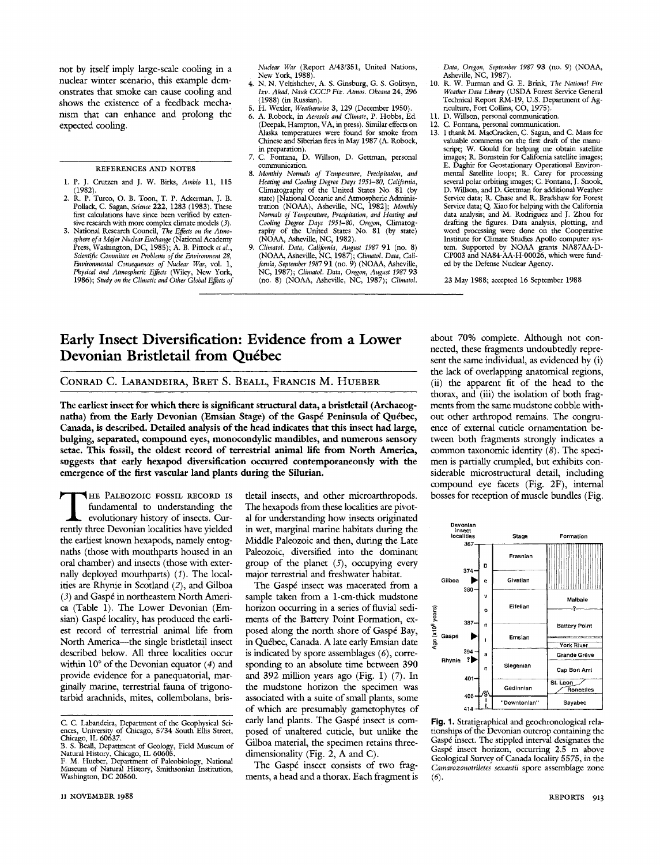not by itself imply large-scale cooling in a nuclear winter scenario, this example demonstrates that smoke can cause cooling and shows the existence of a feedback mechanism that can enhance and prolong the expected cooling.

REFERENCES AND NOTES

- 1. P. J. Crutzen and J. W. Birks, *Ambio* 11, 115 (1982).
- 2. R, P. Turco, O. B. Toon, T. P. Ackerman, J. B. Pollack, C. Sagan, *Science* 222, 1283 (1983). These first calculations have since been verified by extensive research with more complex climate models *{3).*
- 3. National Research Council, *The Effects on the Atmosphere ofa Major Nuclear Exchange* (National Academy Press, Washington, DC, 1985); A. B. Pittock *et al., Scientific Committee on Problems of the Environment* 28, *Environmental Consequences of Nuclear War,* vol. 1, *Physical and Atmospheric Effects* (Wiley, New York, 1986); *Study on the Climatic and Other Global Effects of*

*Nuclear War* (Report A/43/351, United Nations, New York, 1988).

- 4. N. N. Veltishchev, A. S. Ginsburg, G. S. Golitsyn, *Izv. Akad. Nauk CCCPFiz. Atmos. Okeana* 24, 296 (1988) (in Russian).
- 5. H. Wexler, *Weatherwise* 3, 129 (December 1950).
- 6. A. Robock, in *Aerosols and Climate,* P. Hobbs, Ed. (Deepak, Hampton, VA, in press). Similar effects on Alaska temperatures were found for smoke from Chinese and Siberian fires in May 1987 (A. Robock,
- in preparation). 7. C. Fontana, D. Willson, D. Gettman, personal communication.
- 8. *Monthly Normals of Temperature, Precipitation, and Heating and Cooling Degree Days 195͕80, California,* Climatography of the United States No. 81 (by state) [National Oceanic and Atmospheric Administration (NOAA), Asheville, NC, 1982]; *Monthly Normals of Temperature, Precipitation, and Heating and Cooling Degree Days 1951-80, Oregon,* Climatography of the United States No. 81 (by state) (NOAA, Asheville, NC, 1982).
- 9. Climatol. Data, California, August 1987 91 (no. 8)<br>(NOAA, Asheville, NC, 1987); Climatol. Data, California, September 1987 91 (no. 9) (NOAA, Asheville, NC, 1987); *Climatol. Data, Oregon, August 1987* 93 (no. 8) (NOAA, Asheville, NC, 1987); *Climatol.*

*Data, Oregon, September 1987* 93 (no. 9) (NOAA, Asheville, NC, 1987).

- 10. R. W. Furman and G. E. Brink, *The National Fire Weather Data Library* (USDA Forest Service General Technical Report RM-19, U.S. Department of Agriculture, Fort Collins, CO, 1975).
- 11. D. Willson, personal communication.
- 12. C. Fontana, personal communication.
- 13. I thank M. MacCracken, C. Sagan, and C. Mass for valuable comments on the first draft of the manuscript; W. Gould for helping me obtain satellite images; R. Bornstein for California satellite images; E. Daghir for Geostationary Operational Environmental Satellite loops; R. Carey for processing several polar orbiting images; C. Fontana, J. Snook, D. Willson, and D. Gettman for additional Weather Service data; R. Chase and R. Bradshaw for Forest Service data; Q. Xiao for helping with the California data analysis; and M. Rodriguez and J. Zhou for drafting the figures. Data analysis, plotting, and word processing were done on the Cooperative Institute for Climate Studies Apollo computer system. Supported by NOAA grants NA87AA-D-CP003 and NA84-AA-H-00026, which were fimded by the Defense Nuclear Agency.

23 May 1988; accepted 16 September 1988

## Early Insect Diversification: Evidence from a Lower Devonian Bristletail from Québec

CONRAD C. LABANDEIRA, BRET S. BEALL, FRANCIS M. HUEBER

**The earliest insect for which there is significant structural data, a bristietail (Archaeognatha) from the Early Devonian (Emsian Stage) of the Gaspé Peninsula of Québec, Canada, is described. Detailed analysis ofthe head indicates that this insect had large, bulging, separated, compound eyes, monocondyUc mandibles, and numerous sensory setae. This fossil, the oldest record of terrestrial animal life from North America, suggests that early hexapod diversification occurred contemporaneously with the emergence** of the first vascular land plants during the Silurian.<br>
THE PALEOZOIC FOSSIL RECORD IS tletail insects, and<br>
fundamental to understanding the The beyanods from

fundamental to understanding the evolutionary history of insects. Currently three Devonian localities have yielded the earliest known hexapods, namely entognaths (those with mouthparts housed in an oral chamber) and insects (those with externally deployed mouthparts) (1). The localities are Rhynie in Scotland (2), and Gilboa (3) and Gaspé in northeastern North America (Table 1). The Lower Devonian (Emsian) Gaspé locality, has produced the earliest record of terrestrial animal life from North America--- the single bristletail insect described below. All three localities occur within  $10^{\circ}$  of the Devonian equator (4) and provide evidence for a panequatorial, marginally marine, terrestrial fauna of trigonotarbid arachnids, mites, collembolans, bris-

detail insects, and other microarthropods. The hexapods from these localities are pivotal for understanding how insects originated in wet, marginal marine habitats during the Middle Paleozoic and then, during the Late Paleozoic, diversified into the dominant group of the planet  $(5)$ , occupying every major terrestrial and freshwater habitat.

The Gaspé insect was macerated from a sample taken from a 1-cm-thick mudstone horizon occurring in a series of fluvial sediments of the Battery Point Formation, exposed along the north shore of Gaspé Bay, in Québec, Canada. A late early Emsian date is indicated by spore assemblages (6), corresponding to an absolute time between 390 and 392 million years ago (Fig. 1) (7). In the mudstone horizon the specimen was associated with a suite of small plants, some of which are presumably gametophytes of early land plants. The Gaspé insect is composed of unaltered cuticle, but unlike the Gilboa material, the specimen retains threedimensionality (Fig. 2, A and C).

The Gaspé insect consists of two fragments, a head and a thorax. Each fragment is about 70% complete. Although not connected, these fragments undoubtedly represent the same individual, as evidenced by (i) the lack of overlapping anatomical regions, (ii) the apparent fit of the head to the thorax, and (iii) the isolation of both fragments from the same mudstone cobble without other arthropod remains. The congruence of external cuticle ornamentation between both fragments strongly indicates a common taxonomic identity (8). The specimen is partially crumpled, but exhibits considerable microstructural detail, including compound eye facets (Fig. 2F), internal bosses for reception of muscle bundles (Fig.



**Fig.** 1. Stratigraphical and geochronological relationships of the Devonian outcrop containing the Gaspé insect. The stippled interval designates the Gaspé insect horizon, occurring 2.5 m above Geological Survey ofCanada locality 5575, in the *Cámarozonotriletes sexantii* spore assemblage zone (6).

C. C. Labandeira, Department of the Geophysical Sci-ences, University of Chicago, 5734 South Ellis Street, Chicago, IL 60637.

B. S. Beall, Department of Geology, Field Museum of Natural History, Chicago, IL 60605.

F. M. Hueber, Department of Paleobiology, National Museum of Natural History, Smithsonian Institution, Washington, DC 20560.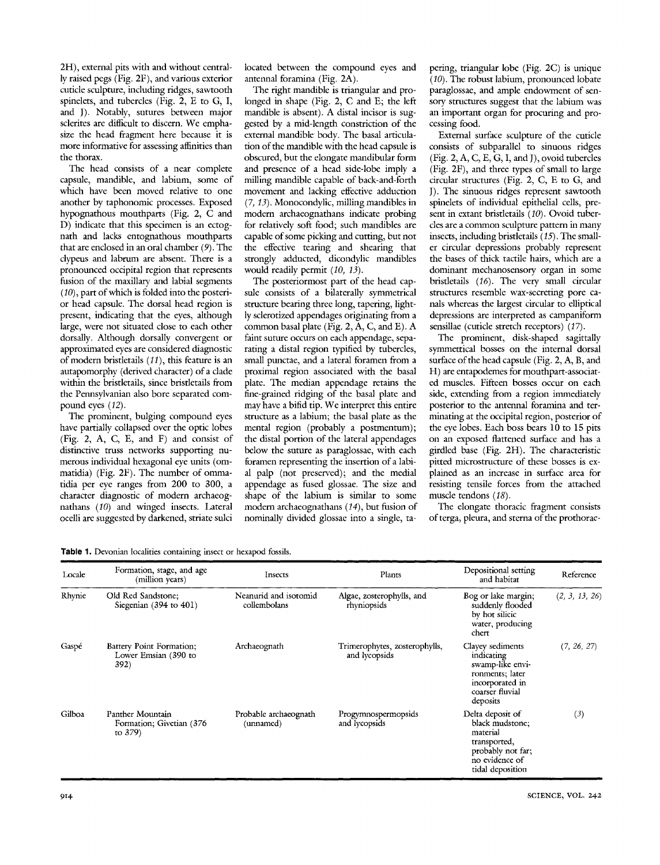2H), external pits with and without centrally raised pegs (Fig. 2F), and various exterior cuticle sculpture, including ridges, sawtooth spinelets, and tubercles (Fig. 2, E to G, I, and J). Notably, sutures between major sclerites are difficult to discern. We emphasize the head fragment here because it is more informative for assessing affinities than the thorax.

The head consists of a near complete capsule, mandible, and labium, some of which have been moved relative to one another by taphonomic processes. Exposed hypognathous mouthparts (Fig. 2, C and D) indicate that this specimen is an ectognath and lacks entognathous mouthparts that are enclosed in an oral chamber *{9).* The clypeus and labrum are absent. There is a pronounced occipital region that represents fusion of the maxillary and labial segments (10), part of which is folded into the posterior head capsule. The dorsal head region is present, indicating that the eyes, although large, were not situated close to each other dorsally. Although dorsally convergent or approximated eyes are considered diagnostic of modern bristletails  $(11)$ , this feature is an autapomorphy (derived character) of a clade within the bristletails, since brisdetails from the Pennsylvanian also bore separated compound eyes (12).

The prominent, bulging compound eyes have partially collapsed over the optic lobes (Fig. 2, A, C, E, and F) and consist of distinctive truss networks supporting numerous individual hexagonal eye units (ommatidia) (Fig. 2F). The number of ommatidia per eye ranges from 200 to 300, a character diagnostic of modern archaeognathans (10) and winged insects. Lateral ocelli are suggested by darkened, striate sulci located between the compound eyes and antennal foramina (Fig. 2A).

The right mandible is triangular and prolonged in shape (Fig. 2, C and E; the left mandible is absent). A distal incisor is suggested by a mid-length constriction of the external mandible body. The basal articulation of the mandible with the head capsule is obscured, but the elongate mandibular form and presence of a head side-lobe imply a milling mandible capable of back-and-forth movement and lacking effective adduction (7, *i3).* Monocondylic, milling mandibles in modern archaeognathans indicate probing for relatively soft food; such mandibles are capable of some picking and cutting, but not the effective tearing and shearing that strongly adducted, dicondyhc mandibles would readily permit *{10, 13).*

The posteriormost part of the head capsule consists of a bilaterally symmetrical structure bearing three long, tapering, lightly sclerotized appendages originating from a common basal plate (Fig. 2, A, C, and E). A faint suture occurs on each appendage, separating a distal region typified by tubercles, small punctae, and a lateral foramen from a proximal region associated with the basal plate. The median appendage retains the fine-grained ridging of the basal plate and may have a bifid tip. We interpret this entire structure as a labium; the basal plate as the mental region (probably a postmentum); the distal portion of the lateral appendages below the suture as paraglossae, with each foramen representing the insertion of a labial palp (not preserved); and the medial appendage as fiised glossae. The size and shape of the labium is similar to some modern archaeognathans (14), but fusion of nominally divided glossae into a single, ta-

pering, triangular lobe (Fig. 2C) is unique *(10).* The robust labium, pronounced lobate paraglossae, and ample endowment of sensory structures suggest that the labium was an important organ for procuring and processing food.

External surface sculpture of the cuticle consists of subparallel to sinuous ridges (Fig. 2, A, C, E, G, I, and J), ovoid tubercles (Fig. 2F), and three types of small to large circular structures (Fig. 2, C, E to G, and J). The sinuous ridges represent sawtooth spinelets of individual epithelial cells, present in extant brisdetails *(10).* Ovoid tubercles are a common sculpture pattern in many insects, including bristletails *(15).* The smaller circular depressions probably represent the bases of thick tactile hairs, which are a dominant mechanosensory organ in some brisdetails *(16).* The very small circular structures resemble wax-secreting pore canals whereas the largest circular to elliptical depressions are interpreted as campaniform sensillae (cuticle stretch receptors) *(17).*

The prominent, disk-shaped sagittally symmetrical bosses on the internal dorsal surface of the head capsule (Fig.  $2, A, B,$  and H) are entapodemes for mouthpart-associated muscles. Fifteen bosses occur on each side, extending from a region immediately posterior to the antennal foramina and terminating at the occipital region, posterior of the eye lobes. Each boss bears 10 to 15 pits on an exposed flattened surface and has a girdled base (Fig. 2H). The characteristic pitted microstructure of these bosses is explained as an increase in surface area for resisting tensile forces from the attached muscle tendons *(18).*

The elongate thoracic fragment consists of terga, pleura, and sterna of the prothorac-

Table 1. Devonian localities containing insect or hexapod fossils.

| Locale | Formation, stage, and age<br>(million years)                | Insects                               | Plants                                         | Depositional setting<br>and habitat                                                                                        | Reference      |
|--------|-------------------------------------------------------------|---------------------------------------|------------------------------------------------|----------------------------------------------------------------------------------------------------------------------------|----------------|
| Rhynie | Old Red Sandstone;<br>Siegenian (394 to 401)                | Neanurid and isotomid<br>collembolans | Algae, zosterophylls, and<br>rhyniopsids       | Bog or lake margin;<br>suddenly flooded<br>by hot silicic<br>water, producing<br>chert                                     | (2, 3, 13, 26) |
| Gaspé  | Battery Point Formation;<br>Lower Emsian (390 to<br>392)    | Archaeognath                          | Trimerophytes, zosterophylls,<br>and lycopsids | Clayey sediments<br>indicating<br>swamp-like envi-<br>ronments; later<br>incorporated in<br>coarser fluvial<br>deposits    | (7, 26, 27)    |
| Gilboa | Panther Mountain<br>Formation; Givetian (376)<br>to $379$ ) | Probable archaeognath<br>(unnamed)    | Progymnospermopsids<br>and lycopsids           | Delta deposit of<br>black mudstone;<br>material<br>transported,<br>probably not far;<br>no evidence of<br>tidal deposition | (3)            |

914 SCIENCE, VOL. 242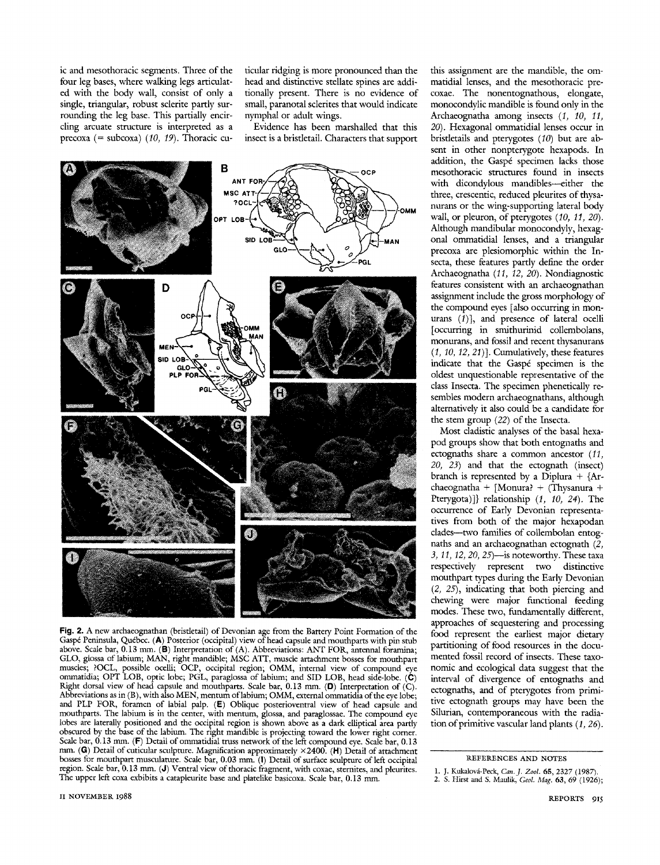ic and mesothoracic segments. Three of the four leg bases, where walking legs articulated with the body wall, consist of only a single, triangular, robust sclerite partly surrounding the leg base. This partially encircling arcuate structure is interpreted as a precoxa (= subcoxa) *{10, 19).* Thoracic cuticular ridging is more pronounced than the head and distinctive stellate spines are additionally present. There is no evidence of small, paranotal sclerites that would indicate nymphal or adult wings.

Evidence has been marshalled that this insect is a bristletail. Characters that support



**Fig.** 2. A new archaeognathan (bristletail) of Devonian age from the Battery Point Formation of the Gaspé Peninsula, Québec. (A) Posterior (occipital) view of head capsule and mouthparts with pin stub above. Scale bar, 0.13 mm. (B) Interpretation of (A). Abbreviations: ANT FOR, antennal foramina; GLO, glossa of labium; MAN, right mandible; MSC ATT, muscle attachment bosses for mouthpart muscles; ?OCL, possible ocelli; OCP, occipital region; OMM, internal view of compound eye ommatidia; OPT LOB, optic lobe; PGL, paraglossa of labium; and SID LOB, head side-lobe. (C) Right dorsal view of head capsule and mouthparts. Scale bar, 0.13 mm. (D) Interpretation of (C). Abbreviations as in (B), with also MEN, mentum oflabium; OMM, external ommatidia ofthe eye lobe; and PLP FOR, foramen of labial palp. (E) Oblique posterioventral view of head capsule and mouthparts. The labium is in the center, with mentum, glossa, and paraglossae. The compound eye lobes are laterally positioned and the occipital region is shown above as a dark elliptical area partly obscured by the base of the labium. The right mandible is projecting toward the lower right corner. Scale bar,  $0.13$  mm. (F) Detail of ommatidial truss network of the left compound eye. Scale bar,  $0.13$ mm. (G) Detail of cuticular sculpture. Magnification approximately  $\times$ 2400. (H) Detail of attachment bosses for mouthpart musculature. Scale bar, 0.03 mm. (I) Detail of surface sculpture of left occipital region. Scale bar, 0.13 mm. (J) Ventral view of thoracic fragment, with coxae, sternites, and pleurites. The upper left coxa exhibits a catapleurite base and platelike basicoxa. Scale bar, 0.13 mm.

this assignment are the mandible, the ommatidial lenses, and the mesothoracic precoxae. The nonentognathous, elongate, monocondylic mandible is found only in the Archaeognatha among insects (Í, *10, 11, 20).* Hexagonal ommatidial lenses occur in bristletails and pterygotes *{10)* but are absent in other nonpterygote hexapods. In addition, the Gaspé specimen lacks those mesothoracic structures found in insects with dicondylous mandibles-either the three, crescentic, reduced pleurites of thysanurans or the wing-supporting lateral body wall, or pleuron, of pterygotes *{10, 11, 20).* Although mandibular monocondyly, hexagonal ommatidial lenses, and a triangular precoxa are plesiomorphic within the Insecta, these features partly define the order Archaeognatha *{11, 12, 20).* Nondiagnostic features consistent with an archaeognathan assignment include the gross morphology of the compound eyes [also occurring in monurans  $(1)$ ], and presence of lateral ocelli [occurring in smithurinid collembolans, monurans, and fossil and recent thysanurans *{1, 10, 12, 21)1.* Cumulatively, these features indicate that the Gaspé specimen is the oldest unquestionable representative of the class Insecta. The specimen phenetically resembles modern archaeognathans, although alternatively it also could be a candidate for the stem group *{22)* of the Insecta.

Most cladistic analyses of the basal hexapod groups show that both entognaths and ectognaths share a common ancestor *{11, 20, 23)* and that the ectognath (insect) branch is represented by a Diplura *+* {Archaeognatha + [Monura? + (Thysanura + Pterygota)]} relationship *{1, 10, 24).* The occurrence of Early Devonian representatives from both of the major hexapodan clades--two families of collembolan entognaths and an archaeognathan ectognath (2, *3,11, 12, 20, 25)*•is noteworthy. These taxa respectively represent two distinctive mouthpart types during the Early Devonian *{2, 25),* indicating that both piercing and chewing were major functional feeding modes. These two, fundamentally different, approaches of sequestering and processing food represent the earliest major dietary partitioning of food resources in the documented fossil record of insects. These taxonomic and ecological data suggest that the interval of divergence of entognaths and ectognaths, and of pterygotes from primitive ectognath groups may have been the Silurian, contemporaneous with the radiation of primitive vascular land plants (1, 26).

**REFERENCES AND NOTES**

**<sup>1.</sup> J.** Kukalová-Peck, *Can.J. Zool.* **65,** 2327 (1987). 2. S. Hirst and S. Maulik, *Geol. Mag.* **63, 69 (1926);**